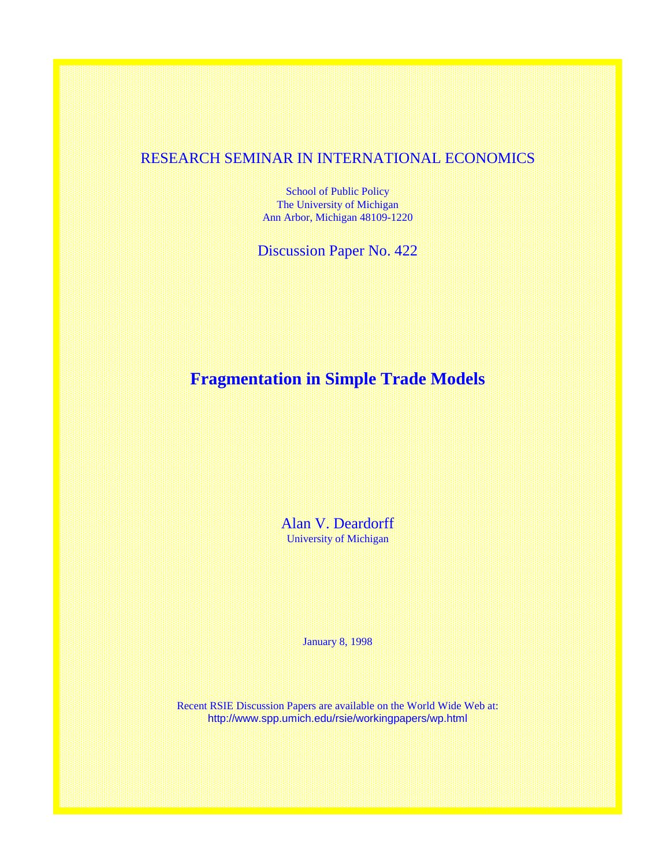## RESEARCH SEMINAR IN INTERNATIONAL ECONOMICS

School of Public Policy The University of Michigan Ann Arbor, Michigan 48109-1220

Discussion Paper No. 422

# **Fragmentation in Simple Trade Models**

Alan V. Deardorff University of Michigan

January 8, 1998

Recent RSIE Discussion Papers are available on the World Wide Web at: http://www.spp.umich.edu/rsie/workingpapers/wp.html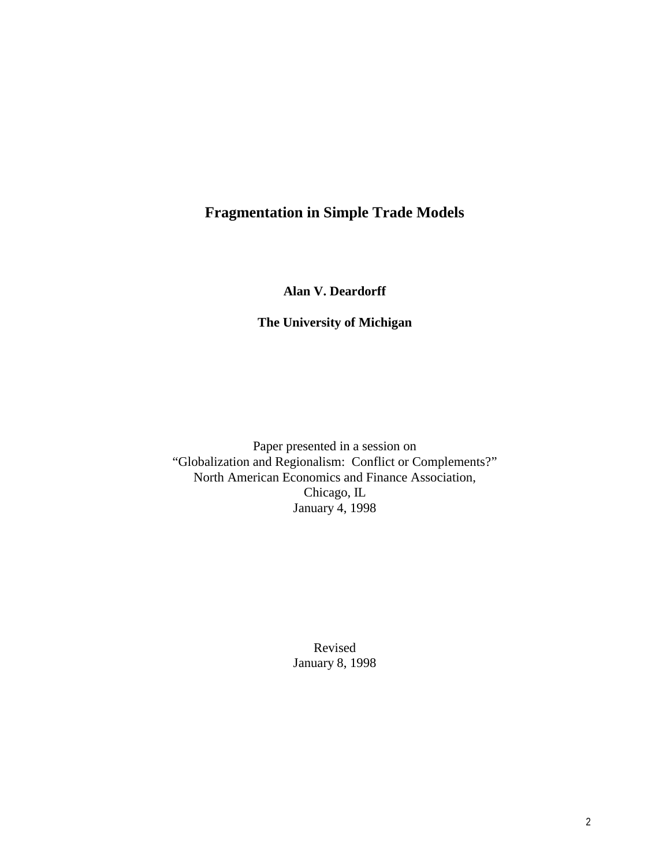## **Fragmentation in Simple Trade Models**

**Alan V. Deardorff**

### **The University of Michigan**

Paper presented in a session on "Globalization and Regionalism: Conflict or Complements?" North American Economics and Finance Association, Chicago, IL January 4, 1998

> Revised January 8, 1998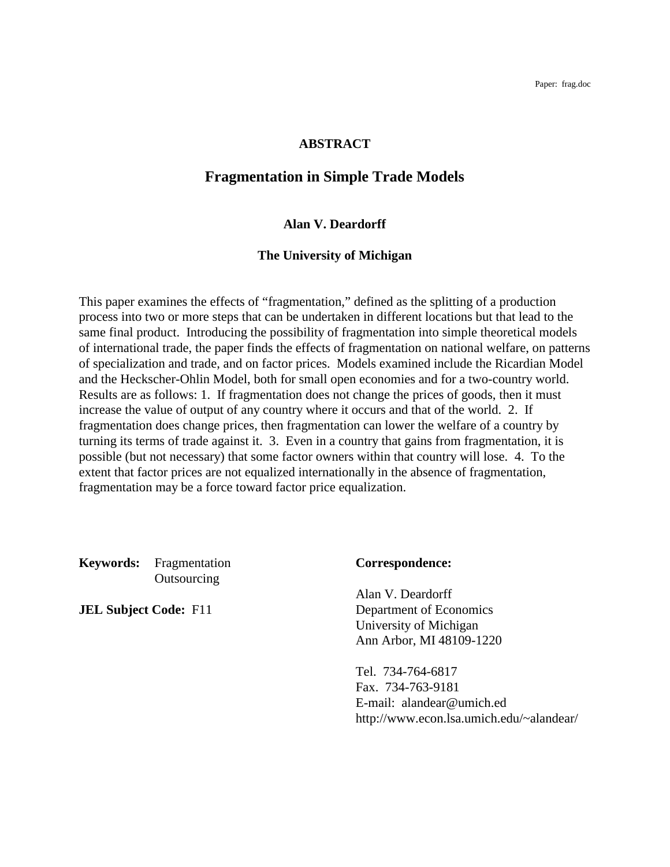Paper: frag.doc

#### **ABSTRACT**

### **Fragmentation in Simple Trade Models**

#### **Alan V. Deardorff**

#### **The University of Michigan**

This paper examines the effects of "fragmentation," defined as the splitting of a production process into two or more steps that can be undertaken in different locations but that lead to the same final product. Introducing the possibility of fragmentation into simple theoretical models of international trade, the paper finds the effects of fragmentation on national welfare, on patterns of specialization and trade, and on factor prices. Models examined include the Ricardian Model and the Heckscher-Ohlin Model, both for small open economies and for a two-country world. Results are as follows: 1. If fragmentation does not change the prices of goods, then it must increase the value of output of any country where it occurs and that of the world. 2. If fragmentation does change prices, then fragmentation can lower the welfare of a country by turning its terms of trade against it. 3. Even in a country that gains from fragmentation, it is possible (but not necessary) that some factor owners within that country will lose. 4. To the extent that factor prices are not equalized internationally in the absence of fragmentation, fragmentation may be a force toward factor price equalization.

**Keywords:** Fragmentation **Correspondence: Outsourcing** 

Alan V. Deardorff **JEL Subject Code:** F11 Department of Economics University of Michigan Ann Arbor, MI 48109-1220

> Tel. 734-764-6817 Fax. 734-763-9181 E-mail: alandear@umich.ed http://www.econ.lsa.umich.edu/~alandear/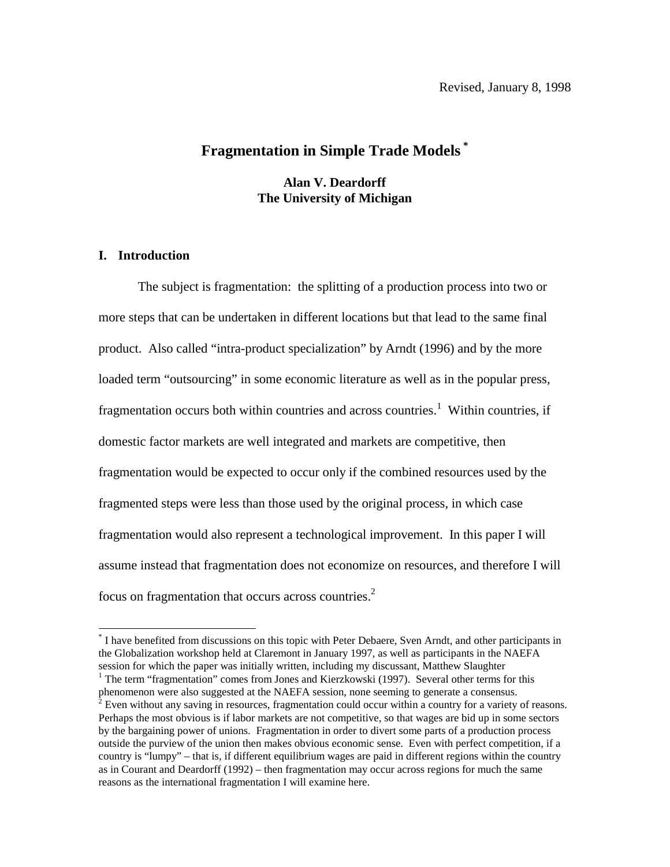## **Fragmentation in Simple Trade Models \***

#### **Alan V. Deardorff The University of Michigan**

#### **I. Introduction**

 $\overline{a}$ 

The subject is fragmentation: the splitting of a production process into two or more steps that can be undertaken in different locations but that lead to the same final product. Also called "intra-product specialization" by Arndt (1996) and by the more loaded term "outsourcing" in some economic literature as well as in the popular press, fragmentation occurs both within countries and across countries.<sup>1</sup> Within countries, if domestic factor markets are well integrated and markets are competitive, then fragmentation would be expected to occur only if the combined resources used by the fragmented steps were less than those used by the original process, in which case fragmentation would also represent a technological improvement. In this paper I will assume instead that fragmentation does not economize on resources, and therefore I will focus on fragmentation that occurs across countries.<sup>2</sup>

<sup>\*</sup> I have benefited from discussions on this topic with Peter Debaere, Sven Arndt, and other participants in the Globalization workshop held at Claremont in January 1997, as well as participants in the NAEFA session for which the paper was initially written, including my discussant, Matthew Slaughter

<sup>&</sup>lt;sup>1</sup> The term "fragmentation" comes from Jones and Kierzkowski (1997). Several other terms for this phenomenon were also suggested at the NAEFA session, none seeming to generate a consensus.

 $2^{2}$  Even without any saving in resources, fragmentation could occur within a country for a variety of reasons. Perhaps the most obvious is if labor markets are not competitive, so that wages are bid up in some sectors by the bargaining power of unions. Fragmentation in order to divert some parts of a production process outside the purview of the union then makes obvious economic sense. Even with perfect competition, if a country is "lumpy" – that is, if different equilibrium wages are paid in different regions within the country as in Courant and Deardorff (1992) – then fragmentation may occur across regions for much the same reasons as the international fragmentation I will examine here.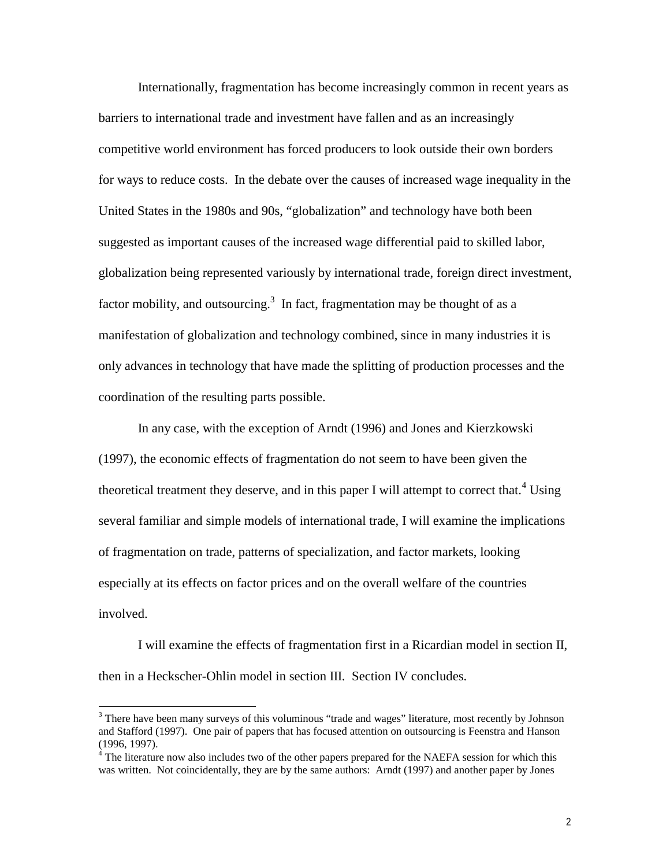Internationally, fragmentation has become increasingly common in recent years as barriers to international trade and investment have fallen and as an increasingly competitive world environment has forced producers to look outside their own borders for ways to reduce costs. In the debate over the causes of increased wage inequality in the United States in the 1980s and 90s, "globalization" and technology have both been suggested as important causes of the increased wage differential paid to skilled labor, globalization being represented variously by international trade, foreign direct investment, factor mobility, and outsourcing.<sup>3</sup> In fact, fragmentation may be thought of as a manifestation of globalization and technology combined, since in many industries it is only advances in technology that have made the splitting of production processes and the coordination of the resulting parts possible.

In any case, with the exception of Arndt (1996) and Jones and Kierzkowski (1997), the economic effects of fragmentation do not seem to have been given the theoretical treatment they deserve, and in this paper I will attempt to correct that.<sup>4</sup> Using several familiar and simple models of international trade, I will examine the implications of fragmentation on trade, patterns of specialization, and factor markets, looking especially at its effects on factor prices and on the overall welfare of the countries involved.

I will examine the effects of fragmentation first in a Ricardian model in section II, then in a Heckscher-Ohlin model in section III. Section IV concludes.

 $\overline{a}$ 

<sup>&</sup>lt;sup>3</sup> There have been many surveys of this voluminous "trade and wages" literature, most recently by Johnson and Stafford (1997). One pair of papers that has focused attention on outsourcing is Feenstra and Hanson (1996, 1997).

<sup>&</sup>lt;sup>4</sup> The literature now also includes two of the other papers prepared for the NAEFA session for which this was written. Not coincidentally, they are by the same authors: Arndt (1997) and another paper by Jones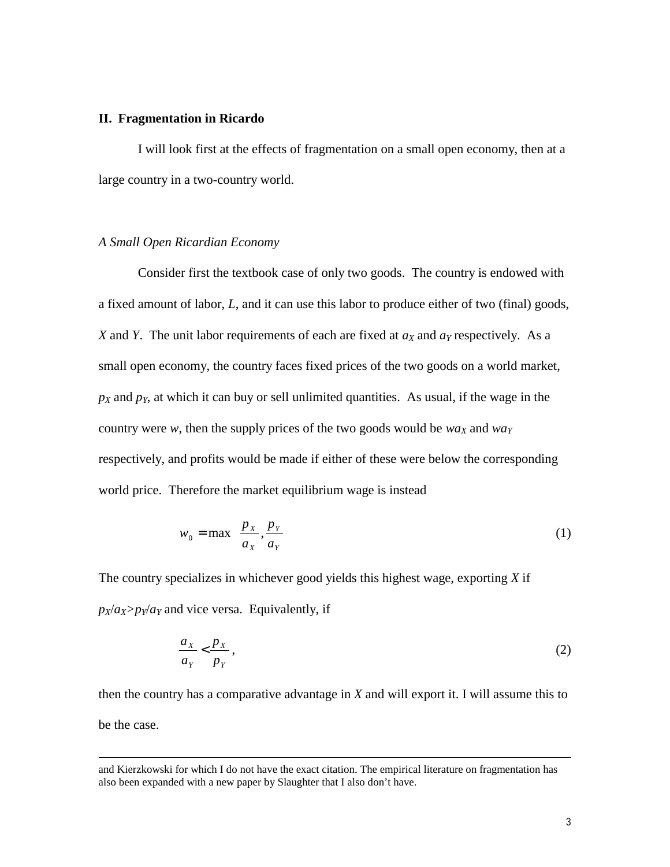#### **II. Fragmentation in Ricardo**

I will look first at the effects of fragmentation on a small open economy, then at a large country in a two-country world.

#### *A Small Open Ricardian Economy*

 $\overline{a}$ 

Consider first the textbook case of only two goods. The country is endowed with a fixed amount of labor, *L*, and it can use this labor to produce either of two (final) goods, *X* and *Y*. The unit labor requirements of each are fixed at  $a_X$  and  $a_Y$  respectively. As a small open economy, the country faces fixed prices of the two goods on a world market,  $p_X$  and  $p_Y$ , at which it can buy or sell unlimited quantities. As usual, if the wage in the country were *w*, then the supply prices of the two goods would be  $wax$  and  $way$ respectively, and profits would be made if either of these were below the corresponding world price. Therefore the market equilibrium wage is instead

$$
w_0 = \max\left(\frac{p_x}{a_x}, \frac{p_y}{a_y}\right) \tag{1}
$$

The country specializes in whichever good yields this highest wage, exporting *X* if  $p_X/a_X > p_Y/a_Y$  and vice versa. Equivalently, if

$$
\frac{a_x}{a_y} < \frac{p_x}{p_y},\tag{2}
$$

then the country has a comparative advantage in *X* and will export it. I will assume this to be the case.

and Kierzkowski for which I do not have the exact citation. The empirical literature on fragmentation has also been expanded with a new paper by Slaughter that I also don't have.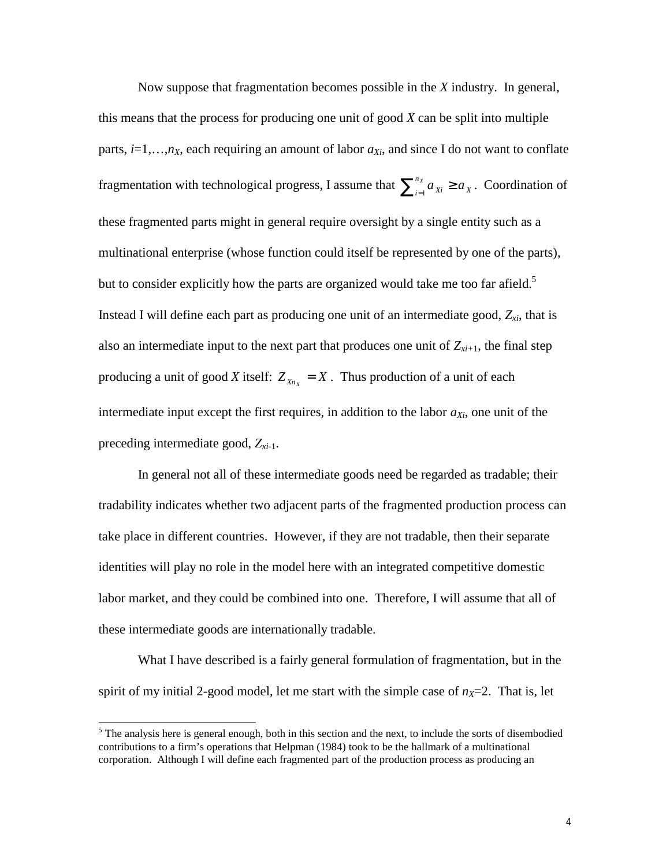Now suppose that fragmentation becomes possible in the *X* industry. In general, this means that the process for producing one unit of good *X* can be split into multiple parts,  $i=1,...,n_X$ , each requiring an amount of labor  $a_{Xi}$ , and since I do not want to conflate fragmentation with technological progress, I assume that  $\sum_{i=1}^{n_x} a_{xi} \ge a$  $\sum_{i=1}^{n_X} a_{xi} \ge a_x$ . Coordination of these fragmented parts might in general require oversight by a single entity such as a multinational enterprise (whose function could itself be represented by one of the parts), but to consider explicitly how the parts are organized would take me too far afield.<sup>5</sup> Instead I will define each part as producing one unit of an intermediate good,  $Z_{xi}$ , that is also an intermediate input to the next part that produces one unit of  $Z_{x_i+1}$ , the final step producing a unit of good *X* itself:  $Z_{X_n} = X$ . Thus production of a unit of each intermediate input except the first requires, in addition to the labor  $a_{Xi}$ , one unit of the preceding intermediate good, *Zxi-*1.

In general not all of these intermediate goods need be regarded as tradable; their tradability indicates whether two adjacent parts of the fragmented production process can take place in different countries. However, if they are not tradable, then their separate identities will play no role in the model here with an integrated competitive domestic labor market, and they could be combined into one. Therefore, I will assume that all of these intermediate goods are internationally tradable.

What I have described is a fairly general formulation of fragmentation, but in the spirit of my initial 2-good model, let me start with the simple case of  $n<sub>X</sub>=2$ . That is, let

<sup>&</sup>lt;sup>5</sup> The analysis here is general enough, both in this section and the next, to include the sorts of disembodied contributions to a firm's operations that Helpman (1984) took to be the hallmark of a multinational corporation. Although I will define each fragmented part of the production process as producing an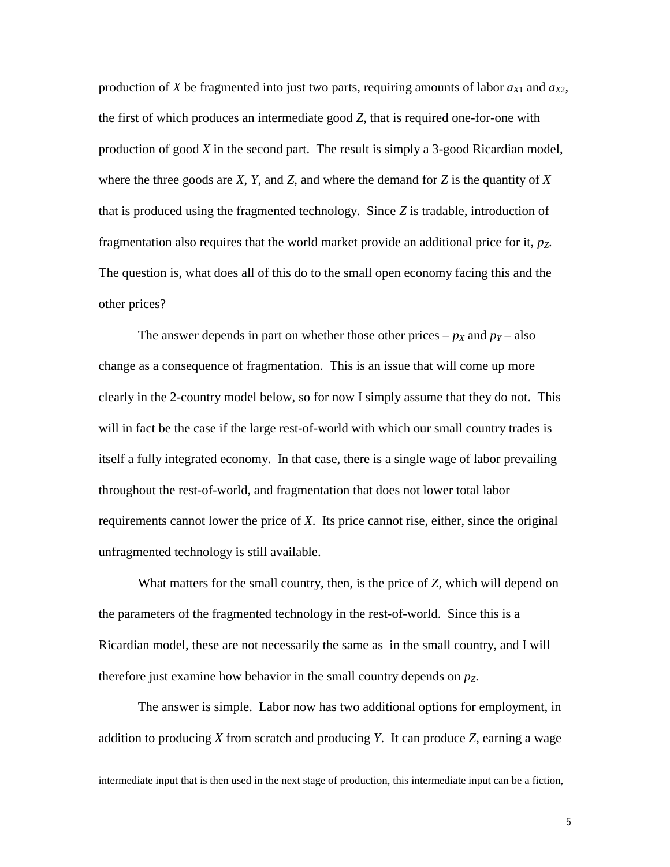production of *X* be fragmented into just two parts, requiring amounts of labor  $a_{X1}$  and  $a_{X2}$ , the first of which produces an intermediate good *Z*, that is required one-for-one with production of good *X* in the second part. The result is simply a 3-good Ricardian model, where the three goods are *X*, *Y*, and *Z*, and where the demand for *Z* is the quantity of *X* that is produced using the fragmented technology. Since *Z* is tradable, introduction of fragmentation also requires that the world market provide an additional price for it, *pZ*. The question is, what does all of this do to the small open economy facing this and the other prices?

The answer depends in part on whether those other prices  $-p<sub>X</sub>$  and  $p<sub>Y</sub> -$  also change as a consequence of fragmentation. This is an issue that will come up more clearly in the 2-country model below, so for now I simply assume that they do not. This will in fact be the case if the large rest-of-world with which our small country trades is itself a fully integrated economy. In that case, there is a single wage of labor prevailing throughout the rest-of-world, and fragmentation that does not lower total labor requirements cannot lower the price of *X*. Its price cannot rise, either, since the original unfragmented technology is still available.

What matters for the small country, then, is the price of *Z*, which will depend on the parameters of the fragmented technology in the rest-of-world. Since this is a Ricardian model, these are not necessarily the same as in the small country, and I will therefore just examine how behavior in the small country depends on  $p_z$ .

The answer is simple. Labor now has two additional options for employment, in addition to producing *X* from scratch and producing *Y*. It can produce *Z*, earning a wage

 $\overline{a}$ 

intermediate input that is then used in the next stage of production, this intermediate input can be a fiction,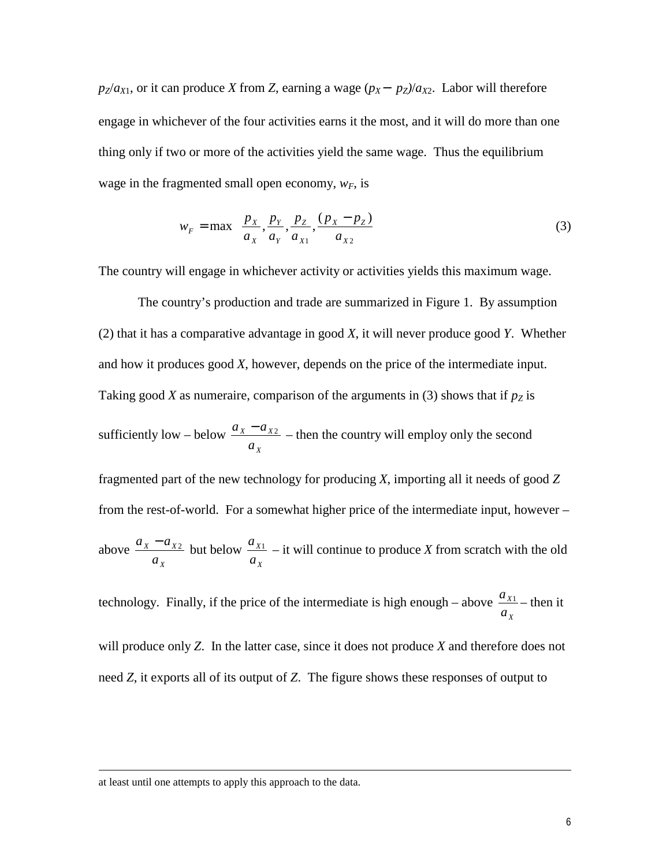$p_Z/a_{X1}$ , or it can produce *X* from *Z*, earning a wage  $(p_X - p_Z)/a_{X2}$ . Labor will therefore engage in whichever of the four activities earns it the most, and it will do more than one thing only if two or more of the activities yield the same wage. Thus the equilibrium wage in the fragmented small open economy,  $w_F$ , is

$$
w_F = \max\left(\frac{p_X}{a_X}, \frac{p_Y}{a_Y}, \frac{p_Z}{a_{X1}}, \frac{(p_X - p_Z)}{a_{X2}}\right)
$$
(3)

The country will engage in whichever activity or activities yields this maximum wage.

The country's production and trade are summarized in Figure 1. By assumption (2) that it has a comparative advantage in good *X*, it will never produce good *Y*. Whether and how it produces good *X*, however, depends on the price of the intermediate input. Taking good *X* as numeraire, comparison of the arguments in (3) shows that if  $p_Z$  is sufficiently low – below  $\frac{a_x - a}{a_x - a}$ *a X X X*  $\frac{-a_{x_2}}{-a_{x_2}}$  – then the country will employ only the second fragmented part of the new technology for producing *X*, importing all it needs of good *Z* from the rest-of-world. For a somewhat higher price of the intermediate input, however – above  $\frac{a_x - a_y}{a_x - a_y}$ *a X X X*  $\frac{-a_{x2}}{a}$  but below  $\frac{a}{a}$ *a X X*  $\frac{1}{1}$  – it will continue to produce *X* from scratch with the old technology. Finally, if the price of the intermediate is high enough – above  $\frac{a}{a}$ *a X X*  $\frac{1}{-}$  then it will produce only *Z*. In the latter case, since it does not produce *X* and therefore does not need *Z*, it exports all of its output of *Z*. The figure shows these responses of output to

 $\overline{a}$ 

at least until one attempts to apply this approach to the data.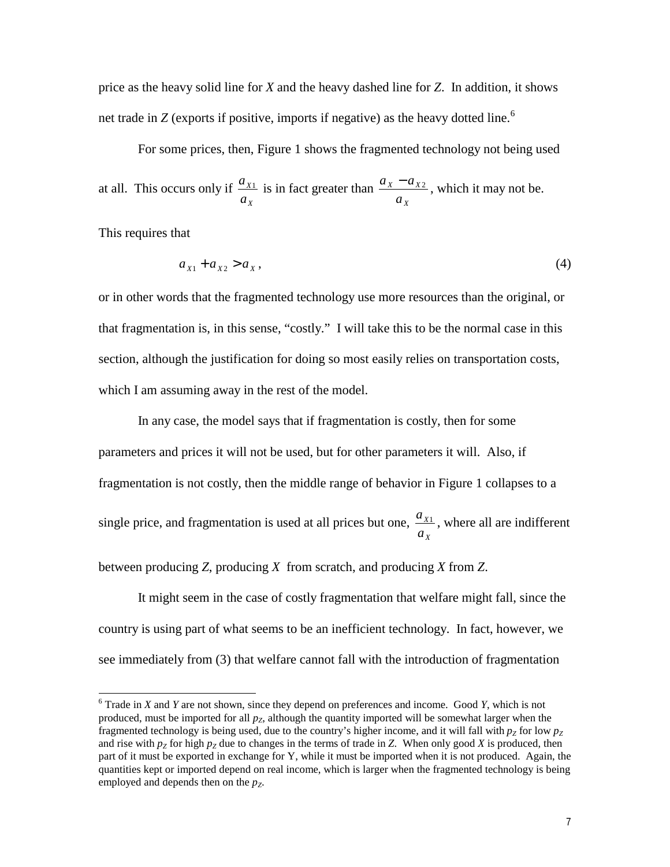price as the heavy solid line for *X* and the heavy dashed line for *Z*. In addition, it shows net trade in  $Z$  (exports if positive, imports if negative) as the heavy dotted line.<sup>6</sup>

For some prices, then, Figure 1 shows the fragmented technology not being used at all. This occurs only if *<sup>a</sup> a X X* <sup>1</sup> is in fact greater than  $\frac{a_x - a}{a_x - a}$ *a X X X*  $\frac{-a_{x2}}{a}$ , which it may not be.

This requires that

 $\overline{a}$ 

$$
a_{x1} + a_{x2} > a_x, \tag{4}
$$

or in other words that the fragmented technology use more resources than the original, or that fragmentation is, in this sense, "costly." I will take this to be the normal case in this section, although the justification for doing so most easily relies on transportation costs, which I am assuming away in the rest of the model.

In any case, the model says that if fragmentation is costly, then for some parameters and prices it will not be used, but for other parameters it will. Also, if fragmentation is not costly, then the middle range of behavior in Figure 1 collapses to a single price, and fragmentation is used at all prices but one, *<sup>a</sup> a X X*  $\frac{1}{x}$ , where all are indifferent

between producing *Z*, producing *X* from scratch, and producing *X* from *Z*.

It might seem in the case of costly fragmentation that welfare might fall, since the country is using part of what seems to be an inefficient technology. In fact, however, we see immediately from (3) that welfare cannot fall with the introduction of fragmentation

<sup>6</sup> Trade in *X* and *Y* are not shown, since they depend on preferences and income. Good *Y*, which is not produced, must be imported for all  $p<sub>Z</sub>$ , although the quantity imported will be somewhat larger when the fragmented technology is being used, due to the country's higher income, and it will fall with  $p<sub>z</sub>$  for low  $p<sub>z</sub>$ and rise with  $p_Z$  for high  $p_Z$  due to changes in the terms of trade in *Z*. When only good *X* is produced, then part of it must be exported in exchange for Y, while it must be imported when it is not produced. Again, the quantities kept or imported depend on real income, which is larger when the fragmented technology is being employed and depends then on the  $p_z$ .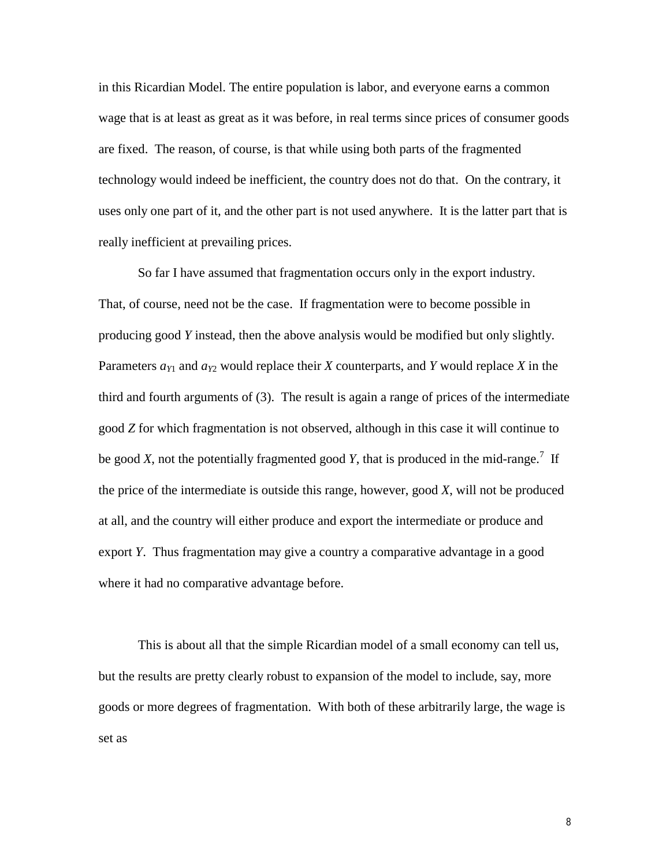in this Ricardian Model. The entire population is labor, and everyone earns a common wage that is at least as great as it was before, in real terms since prices of consumer goods are fixed. The reason, of course, is that while using both parts of the fragmented technology would indeed be inefficient, the country does not do that. On the contrary, it uses only one part of it, and the other part is not used anywhere. It is the latter part that is really inefficient at prevailing prices.

So far I have assumed that fragmentation occurs only in the export industry. That, of course, need not be the case. If fragmentation were to become possible in producing good *Y* instead, then the above analysis would be modified but only slightly. Parameters  $a_{Y1}$  and  $a_{Y2}$  would replace their *X* counterparts, and *Y* would replace *X* in the third and fourth arguments of (3). The result is again a range of prices of the intermediate good *Z* for which fragmentation is not observed, although in this case it will continue to be good *X*, not the potentially fragmented good *Y*, that is produced in the mid-range.<sup>7</sup> If the price of the intermediate is outside this range, however, good *X*, will not be produced at all, and the country will either produce and export the intermediate or produce and export *Y*. Thus fragmentation may give a country a comparative advantage in a good where it had no comparative advantage before.

This is about all that the simple Ricardian model of a small economy can tell us, but the results are pretty clearly robust to expansion of the model to include, say, more goods or more degrees of fragmentation. With both of these arbitrarily large, the wage is set as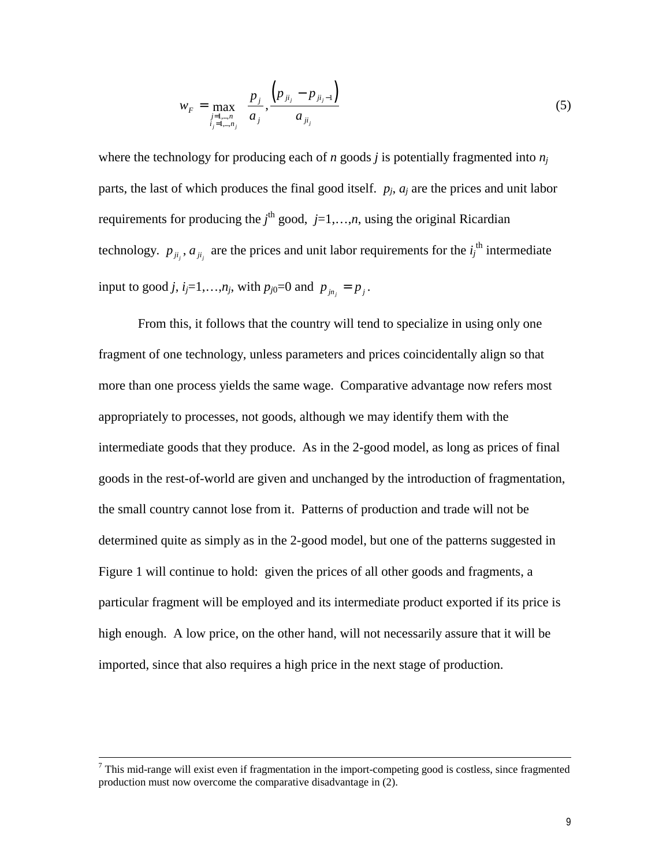$$
w_{F} = \max_{\substack{j=1,\dots,n\\i_{j}=1,\dots,n_{j}}}\left(\frac{p_{j}}{a_{j}},\frac{\left(p_{ji_{j}}-p_{ji_{j}-1}\right)}{a_{ji_{j}}}\right) \tag{5}
$$

where the technology for producing each of *n* goods *j* is potentially fragmented into *nj* parts, the last of which produces the final good itself.  $p_i$ ,  $a_i$  are the prices and unit labor requirements for producing the  $j<sup>th</sup>$  good,  $j=1,...,n$ , using the original Ricardian technology.  $p_{ji_j}, a_{ji_j}$  are the prices and unit labor requirements for the  $i_j^{\text{th}}$  intermediate input to good *j*,  $i_j = 1,...,n_j$ , with  $p_{j0} = 0$  and  $p_{j0} = p_j$ .

From this, it follows that the country will tend to specialize in using only one fragment of one technology, unless parameters and prices coincidentally align so that more than one process yields the same wage. Comparative advantage now refers most appropriately to processes, not goods, although we may identify them with the intermediate goods that they produce. As in the 2-good model, as long as prices of final goods in the rest-of-world are given and unchanged by the introduction of fragmentation, the small country cannot lose from it. Patterns of production and trade will not be determined quite as simply as in the 2-good model, but one of the patterns suggested in Figure 1 will continue to hold: given the prices of all other goods and fragments, a particular fragment will be employed and its intermediate product exported if its price is high enough. A low price, on the other hand, will not necessarily assure that it will be imported, since that also requires a high price in the next stage of production.

<sup>-&</sup>lt;br>7  $\sigma$ <sup>7</sup> This mid-range will exist even if fragmentation in the import-competing good is costless, since fragmented production must now overcome the comparative disadvantage in (2).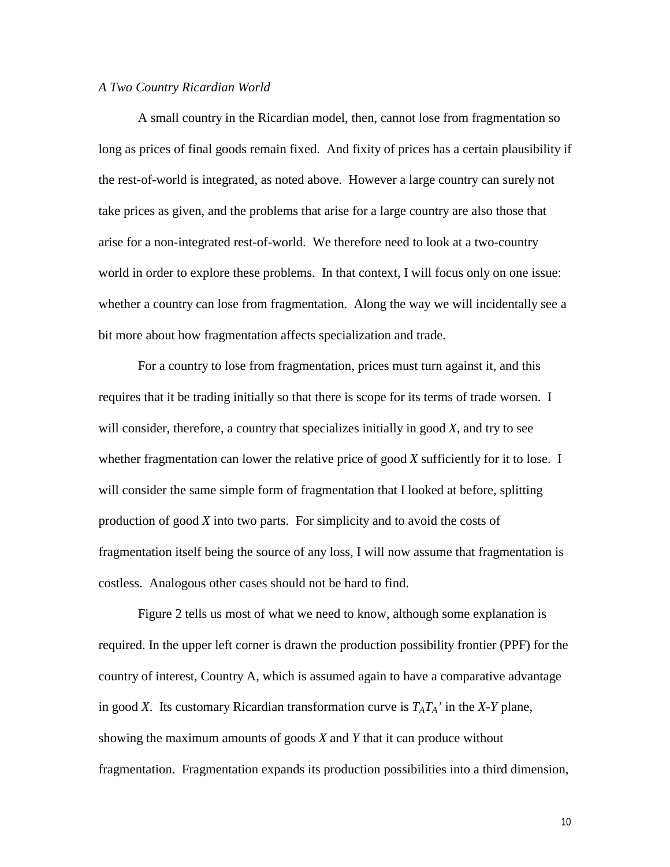#### *A Two Country Ricardian World*

A small country in the Ricardian model, then, cannot lose from fragmentation so long as prices of final goods remain fixed. And fixity of prices has a certain plausibility if the rest-of-world is integrated, as noted above. However a large country can surely not take prices as given, and the problems that arise for a large country are also those that arise for a non-integrated rest-of-world. We therefore need to look at a two-country world in order to explore these problems. In that context, I will focus only on one issue: whether a country can lose from fragmentation. Along the way we will incidentally see a bit more about how fragmentation affects specialization and trade.

For a country to lose from fragmentation, prices must turn against it, and this requires that it be trading initially so that there is scope for its terms of trade worsen. I will consider, therefore, a country that specializes initially in good *X*, and try to see whether fragmentation can lower the relative price of good *X* sufficiently for it to lose. I will consider the same simple form of fragmentation that I looked at before, splitting production of good *X* into two parts. For simplicity and to avoid the costs of fragmentation itself being the source of any loss, I will now assume that fragmentation is costless. Analogous other cases should not be hard to find.

Figure 2 tells us most of what we need to know, although some explanation is required. In the upper left corner is drawn the production possibility frontier (PPF) for the country of interest, Country A, which is assumed again to have a comparative advantage in good *X*. Its customary Ricardian transformation curve is  $T_A T_A'$  in the *X-Y* plane, showing the maximum amounts of goods *X* and *Y* that it can produce without fragmentation. Fragmentation expands its production possibilities into a third dimension,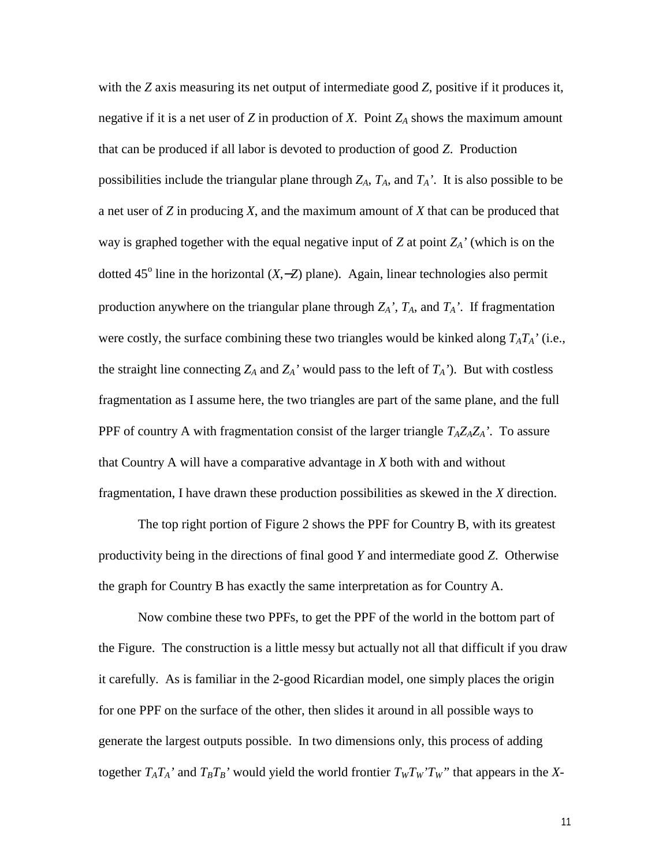with the *Z* axis measuring its net output of intermediate good *Z*, positive if it produces it, negative if it is a net user of *Z* in production of *X*. Point *ZA* shows the maximum amount that can be produced if all labor is devoted to production of good *Z*. Production possibilities include the triangular plane through  $Z_A$ ,  $T_A$ , and  $T_A$ <sup>'</sup>. It is also possible to be a net user of *Z* in producing *X*, and the maximum amount of *X* that can be produced that way is graphed together with the equal negative input of *Z* at point *ZA'* (which is on the dotted 45<sup>°</sup> line in the horizontal  $(X, -Z)$  plane). Again, linear technologies also permit production anywhere on the triangular plane through  $Z_A$ <sup>'</sup>,  $T_A$ , and  $T_A$ <sup>'</sup>. If fragmentation were costly, the surface combining these two triangles would be kinked along *TATA'* (i.e., the straight line connecting  $Z_A$  and  $Z_A$ ' would pass to the left of  $T_A$ '). But with costless fragmentation as I assume here, the two triangles are part of the same plane, and the full PPF of country A with fragmentation consist of the larger triangle  $T_A Z_A Z_A$ <sup>'</sup>. To assure that Country A will have a comparative advantage in *X* both with and without fragmentation, I have drawn these production possibilities as skewed in the *X* direction.

The top right portion of Figure 2 shows the PPF for Country B, with its greatest productivity being in the directions of final good *Y* and intermediate good *Z*. Otherwise the graph for Country B has exactly the same interpretation as for Country A.

Now combine these two PPFs, to get the PPF of the world in the bottom part of the Figure. The construction is a little messy but actually not all that difficult if you draw it carefully. As is familiar in the 2-good Ricardian model, one simply places the origin for one PPF on the surface of the other, then slides it around in all possible ways to generate the largest outputs possible. In two dimensions only, this process of adding together  $T_A T_A'$  and  $T_B T_B'$ ' would yield the world frontier  $T_W T_W' T_W''$ ' that appears in the X-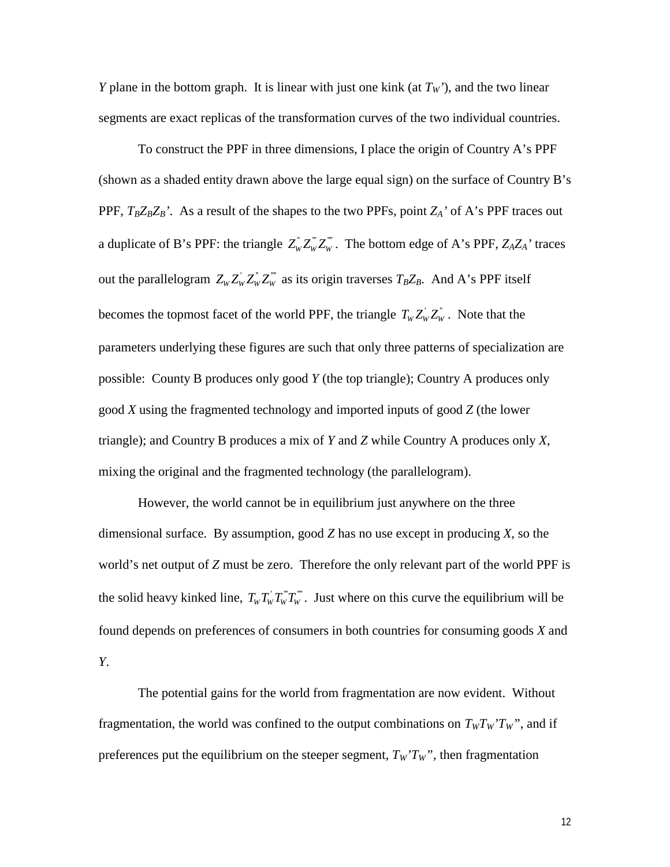*Y* plane in the bottom graph. It is linear with just one kink (at  $T_W$ ), and the two linear segments are exact replicas of the transformation curves of the two individual countries.

To construct the PPF in three dimensions, I place the origin of Country A's PPF (shown as a shaded entity drawn above the large equal sign) on the surface of Country B's PPF,  $T_B Z_B Z_B'$ . As a result of the shapes to the two PPFs, point  $Z_A'$  of A's PPF traces out a duplicate of B's PPF: the triangle  $Z_w^* Z_w^* Z_w^*$ . The bottom edge of A's PPF,  $Z_A Z_A$ ' traces out the parallelogram  $Z_w Z_w Z_w Z_w^* Z_w^*$  as its origin traverses  $T_B Z_B$ . And A's PPF itself becomes the topmost facet of the world PPF, the triangle  $T_w Z_w^{\dagger} Z_w^{\dagger}$ . Note that the parameters underlying these figures are such that only three patterns of specialization are possible: County B produces only good *Y* (the top triangle); Country A produces only good *X* using the fragmented technology and imported inputs of good *Z* (the lower triangle); and Country B produces a mix of *Y* and *Z* while Country A produces only *X*, mixing the original and the fragmented technology (the parallelogram).

However, the world cannot be in equilibrium just anywhere on the three dimensional surface. By assumption, good *Z* has no use except in producing *X*, so the world's net output of *Z* must be zero. Therefore the only relevant part of the world PPF is the solid heavy kinked line,  $T_w T_w^* T_w^* T_w^*$ . Just where on this curve the equilibrium will be found depends on preferences of consumers in both countries for consuming goods *X* and *Y*.

The potential gains for the world from fragmentation are now evident. Without fragmentation, the world was confined to the output combinations on  $T_wT_wT_w$ ", and if preferences put the equilibrium on the steeper segment,  $T_W T_W$ ", then fragmentation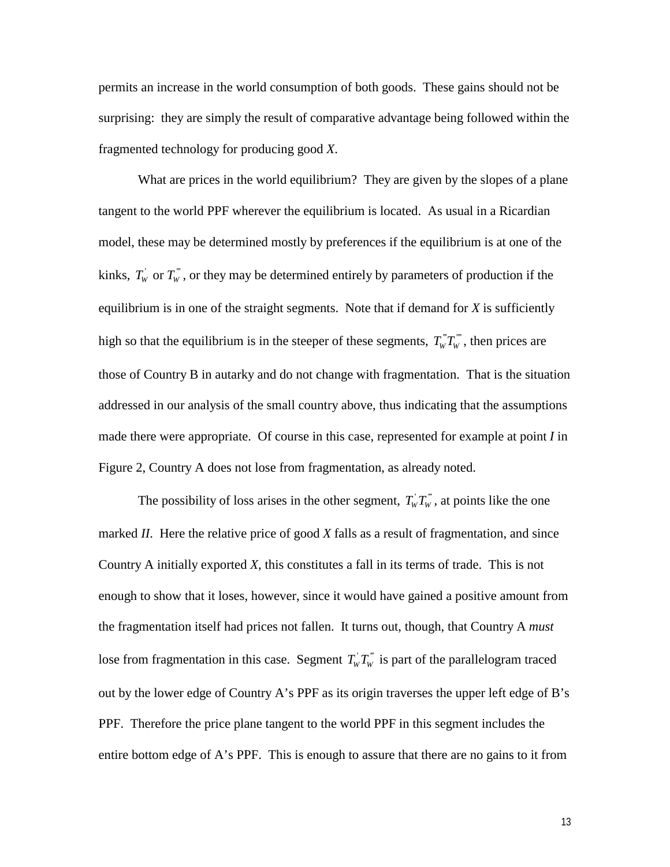permits an increase in the world consumption of both goods. These gains should not be surprising: they are simply the result of comparative advantage being followed within the fragmented technology for producing good *X*.

What are prices in the world equilibrium? They are given by the slopes of a plane tangent to the world PPF wherever the equilibrium is located. As usual in a Ricardian model, these may be determined mostly by preferences if the equilibrium is at one of the kinks,  $T_w^{\dagger}$  or  $T_w^{\dagger}$  , or they may be determined entirely by parameters of production if the equilibrium is in one of the straight segments. Note that if demand for *X* is sufficiently high so that the equilibrium is in the steeper of these segments,  $T_w^T T_w^T$ , then prices are those of Country B in autarky and do not change with fragmentation. That is the situation addressed in our analysis of the small country above, thus indicating that the assumptions made there were appropriate. Of course in this case, represented for example at point *I* in Figure 2, Country A does not lose from fragmentation, as already noted.

The possibility of loss arises in the other segment,  $T_w^{\dagger} T_w^{\dagger}$ , at points like the one marked *II*. Here the relative price of good *X* falls as a result of fragmentation, and since Country A initially exported *X*, this constitutes a fall in its terms of trade. This is not enough to show that it loses, however, since it would have gained a positive amount from the fragmentation itself had prices not fallen. It turns out, though, that Country A *must* lose from fragmentation in this case. Segment  $T_w^{\dagger} T_w^{\dagger}$  is part of the parallelogram traced out by the lower edge of Country A's PPF as its origin traverses the upper left edge of B's PPF. Therefore the price plane tangent to the world PPF in this segment includes the entire bottom edge of A's PPF. This is enough to assure that there are no gains to it from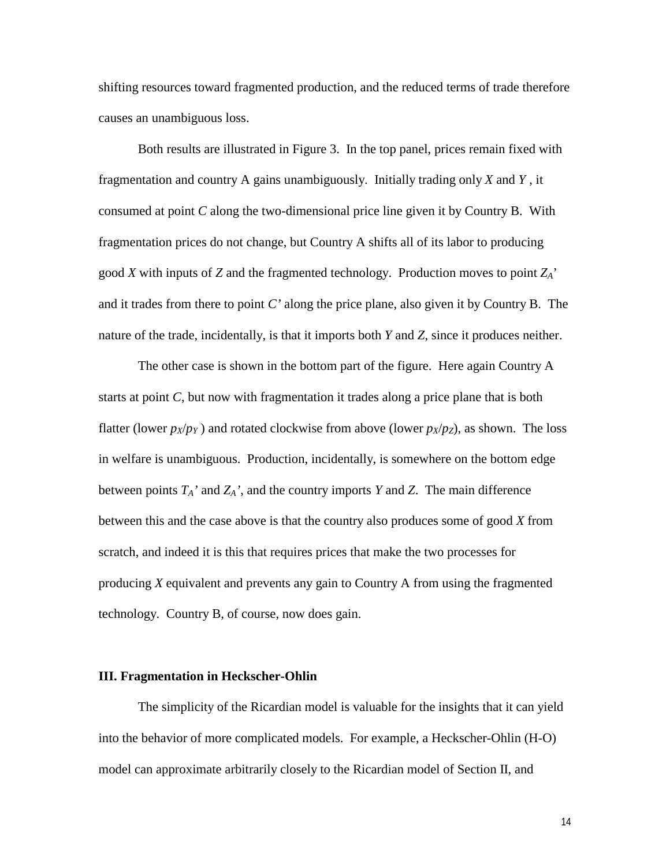shifting resources toward fragmented production, and the reduced terms of trade therefore causes an unambiguous loss.

Both results are illustrated in Figure 3. In the top panel, prices remain fixed with fragmentation and country A gains unambiguously. Initially trading only *X* and *Y* , it consumed at point *C* along the two-dimensional price line given it by Country B. With fragmentation prices do not change, but Country A shifts all of its labor to producing good *X* with inputs of *Z* and the fragmented technology. Production moves to point *ZA*' and it trades from there to point *C'* along the price plane, also given it by Country B. The nature of the trade, incidentally, is that it imports both *Y* and *Z*, since it produces neither.

The other case is shown in the bottom part of the figure. Here again Country A starts at point *C*, but now with fragmentation it trades along a price plane that is both flatter (lower  $p_X/p_Y$ ) and rotated clockwise from above (lower  $p_X/p_Z$ ), as shown. The loss in welfare is unambiguous. Production, incidentally, is somewhere on the bottom edge between points  $T_A$ ' and  $Z_A$ ', and the country imports *Y* and *Z*. The main difference between this and the case above is that the country also produces some of good *X* from scratch, and indeed it is this that requires prices that make the two processes for producing *X* equivalent and prevents any gain to Country A from using the fragmented technology. Country B, of course, now does gain.

#### **III. Fragmentation in Heckscher-Ohlin**

The simplicity of the Ricardian model is valuable for the insights that it can yield into the behavior of more complicated models. For example, a Heckscher-Ohlin (H-O) model can approximate arbitrarily closely to the Ricardian model of Section II, and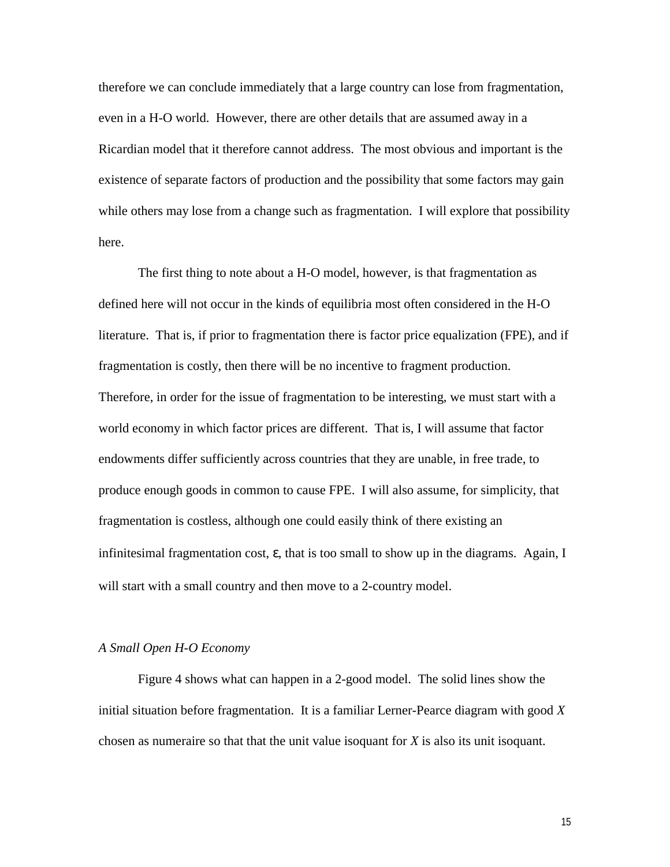therefore we can conclude immediately that a large country can lose from fragmentation, even in a H-O world. However, there are other details that are assumed away in a Ricardian model that it therefore cannot address. The most obvious and important is the existence of separate factors of production and the possibility that some factors may gain while others may lose from a change such as fragmentation. I will explore that possibility here.

The first thing to note about a H-O model, however, is that fragmentation as defined here will not occur in the kinds of equilibria most often considered in the H-O literature. That is, if prior to fragmentation there is factor price equalization (FPE), and if fragmentation is costly, then there will be no incentive to fragment production. Therefore, in order for the issue of fragmentation to be interesting, we must start with a world economy in which factor prices are different. That is, I will assume that factor endowments differ sufficiently across countries that they are unable, in free trade, to produce enough goods in common to cause FPE. I will also assume, for simplicity, that fragmentation is costless, although one could easily think of there existing an infinitesimal fragmentation cost, ε, that is too small to show up in the diagrams. Again, I will start with a small country and then move to a 2-country model.

#### *A Small Open H-O Economy*

Figure 4 shows what can happen in a 2-good model. The solid lines show the initial situation before fragmentation. It is a familiar Lerner-Pearce diagram with good *X* chosen as numeraire so that that the unit value isoquant for *X* is also its unit isoquant.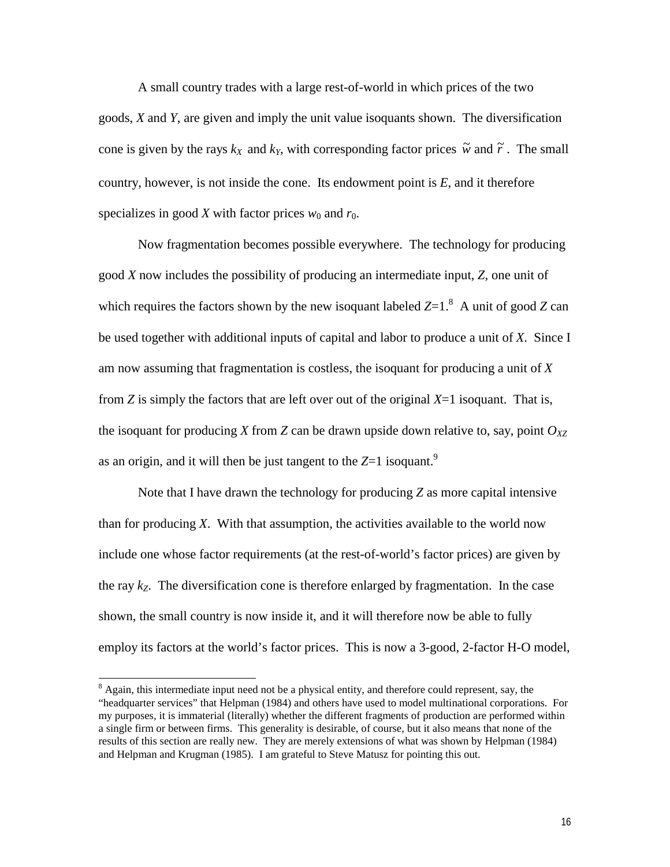A small country trades with a large rest-of-world in which prices of the two goods, *X* and *Y*, are given and imply the unit value isoquants shown. The diversification cone is given by the rays  $k_X$  and  $k_Y$ , with corresponding factor prices  $\tilde{w}$  and  $\tilde{r}$ . The small country, however, is not inside the cone. Its endowment point is *E*, and it therefore specializes in good *X* with factor prices  $w_0$  and  $r_0$ .

Now fragmentation becomes possible everywhere. The technology for producing good *X* now includes the possibility of producing an intermediate input, *Z*, one unit of which requires the factors shown by the new isoquant labeled  $Z=1$ .<sup>8</sup> A unit of good  $Z$  can be used together with additional inputs of capital and labor to produce a unit of *X*. Since I am now assuming that fragmentation is costless, the isoquant for producing a unit of *X* from *Z* is simply the factors that are left over out of the original *X*=1 isoquant. That is, the isoquant for producing *X* from *Z* can be drawn upside down relative to, say, point  $O_{XZ}$ as an origin, and it will then be just tangent to the  $Z=1$  isoquant.<sup>9</sup>

Note that I have drawn the technology for producing *Z* as more capital intensive than for producing *X*. With that assumption, the activities available to the world now include one whose factor requirements (at the rest-of-world's factor prices) are given by the ray  $k_z$ . The diversification cone is therefore enlarged by fragmentation. In the case shown, the small country is now inside it, and it will therefore now be able to fully employ its factors at the world's factor prices. This is now a 3-good, 2-factor H-O model,

 $\overline{a}$ 

<sup>&</sup>lt;sup>8</sup> Again, this intermediate input need not be a physical entity, and therefore could represent, say, the "headquarter services" that Helpman (1984) and others have used to model multinational corporations. For my purposes, it is immaterial (literally) whether the different fragments of production are performed within a single firm or between firms. This generality is desirable, of course, but it also means that none of the results of this section are really new. They are merely extensions of what was shown by Helpman (1984) and Helpman and Krugman (1985). I am grateful to Steve Matusz for pointing this out.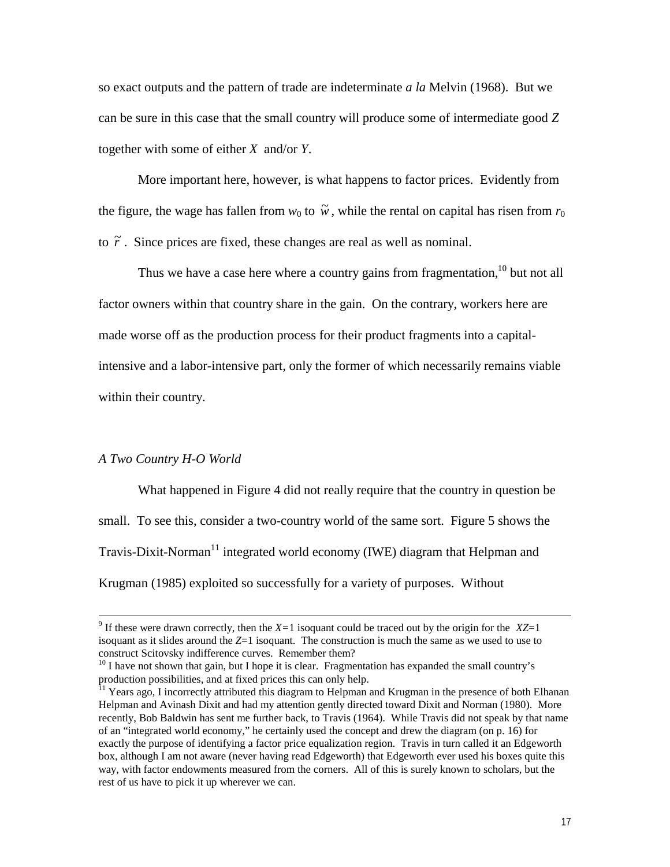so exact outputs and the pattern of trade are indeterminate *a la* Melvin (1968). But we can be sure in this case that the small country will produce some of intermediate good *Z* together with some of either *X* and/or *Y*.

More important here, however, is what happens to factor prices. Evidently from the figure, the wage has fallen from  $w_0$  to  $\tilde{w}$ , while the rental on capital has risen from  $r_0$ to  $\tilde{r}$ . Since prices are fixed, these changes are real as well as nominal.

Thus we have a case here where a country gains from fragmentation,  $10$  but not all factor owners within that country share in the gain. On the contrary, workers here are made worse off as the production process for their product fragments into a capitalintensive and a labor-intensive part, only the former of which necessarily remains viable within their country.

#### *A Two Country H-O World*

What happened in Figure 4 did not really require that the country in question be small. To see this, consider a two-country world of the same sort. Figure 5 shows the Travis-Dixit-Norman<sup>11</sup> integrated world economy (IWE) diagram that Helpman and Krugman (1985) exploited so successfully for a variety of purposes. Without

<sup>-&</sup>lt;br>9 <sup>9</sup> If these were drawn correctly, then the  $X=1$  isoquant could be traced out by the origin for the  $XZ=1$ isoquant as it slides around the *Z*=1 isoquant. The construction is much the same as we used to use to construct Scitovsky indifference curves. Remember them?

 $10$  I have not shown that gain, but I hope it is clear. Fragmentation has expanded the small country's production possibilities, and at fixed prices this can only help.

<sup>&</sup>lt;sup>11</sup> Years ago, I incorrectly attributed this diagram to Helpman and Krugman in the presence of both Elhanan Helpman and Avinash Dixit and had my attention gently directed toward Dixit and Norman (1980). More recently, Bob Baldwin has sent me further back, to Travis (1964). While Travis did not speak by that name of an "integrated world economy," he certainly used the concept and drew the diagram (on p. 16) for exactly the purpose of identifying a factor price equalization region. Travis in turn called it an Edgeworth box, although I am not aware (never having read Edgeworth) that Edgeworth ever used his boxes quite this way, with factor endowments measured from the corners. All of this is surely known to scholars, but the rest of us have to pick it up wherever we can.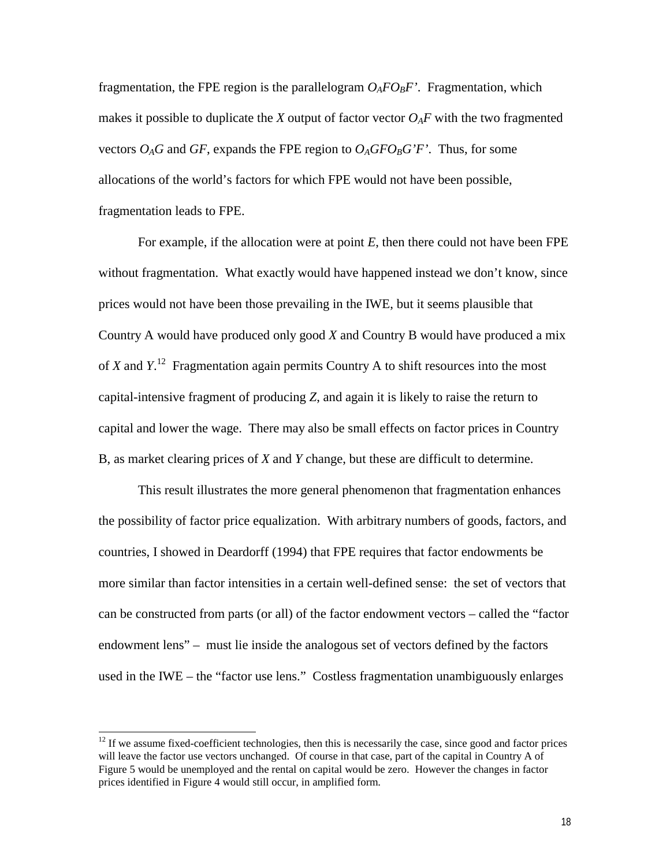fragmentation, the FPE region is the parallelogram  $O_AFO_BF'$ . Fragmentation, which makes it possible to duplicate the *X* output of factor vector  $O<sub>A</sub>F$  with the two fragmented vectors  $O_A G$  and  $GF$ , expands the FPE region to  $O_A G F O_B G' F'$ . Thus, for some allocations of the world's factors for which FPE would not have been possible, fragmentation leads to FPE.

For example, if the allocation were at point *E*, then there could not have been FPE without fragmentation. What exactly would have happened instead we don't know, since prices would not have been those prevailing in the IWE, but it seems plausible that Country A would have produced only good *X* and Country B would have produced a mix of *X* and *Y*. 12 Fragmentation again permits Country A to shift resources into the most capital-intensive fragment of producing *Z*, and again it is likely to raise the return to capital and lower the wage. There may also be small effects on factor prices in Country B, as market clearing prices of *X* and *Y* change, but these are difficult to determine.

This result illustrates the more general phenomenon that fragmentation enhances the possibility of factor price equalization. With arbitrary numbers of goods, factors, and countries, I showed in Deardorff (1994) that FPE requires that factor endowments be more similar than factor intensities in a certain well-defined sense: the set of vectors that can be constructed from parts (or all) of the factor endowment vectors – called the "factor endowment lens" – must lie inside the analogous set of vectors defined by the factors used in the IWE – the "factor use lens." Costless fragmentation unambiguously enlarges

 $\overline{a}$ 

 $12$  If we assume fixed-coefficient technologies, then this is necessarily the case, since good and factor prices will leave the factor use vectors unchanged. Of course in that case, part of the capital in Country A of Figure 5 would be unemployed and the rental on capital would be zero. However the changes in factor prices identified in Figure 4 would still occur, in amplified form.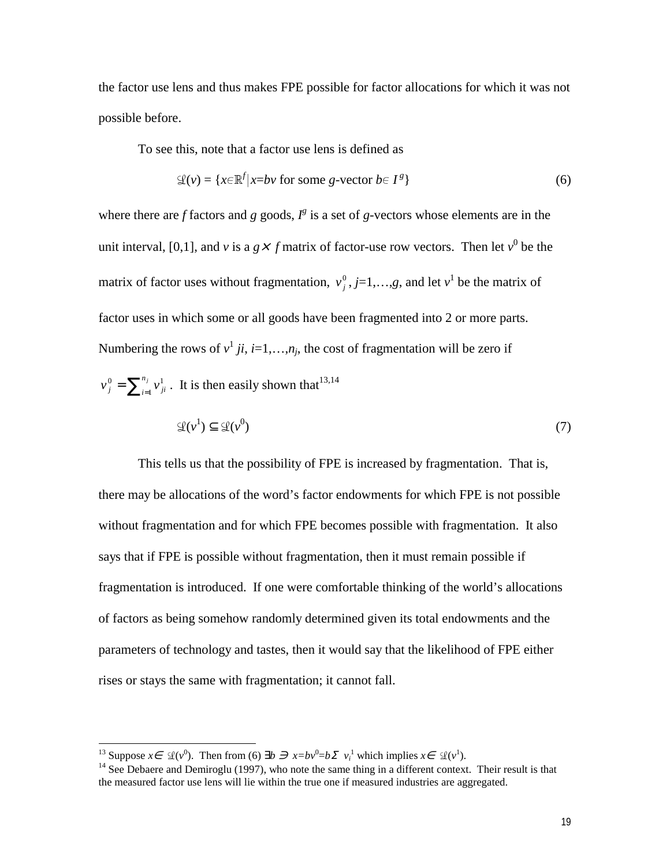the factor use lens and thus makes FPE possible for factor allocations for which it was not possible before.

To see this, note that a factor use lens is defined as

$$
\mathcal{Q}(v) = \{x \in \mathbb{R}^f | x = bv \text{ for some } g \text{-vector } b \in I^g \}
$$
 (6)

where there are  $f$  factors and  $g$  goods,  $I^g$  is a set of  $g$ -vectors whose elements are in the unit interval, [0,1], and *v* is a  $g \times f$  matrix of factor-use row vectors. Then let  $v^0$  be the matrix of factor uses without fragmentation,  $v_j^0$ ,  $j=1,...,g$ , and let  $v^1$  be the matrix of factor uses in which some or all goods have been fragmented into 2 or more parts. Numbering the rows of  $v^1$  *ji*, *i*=1,...,*n<sub>j</sub>*, the cost of fragmentation will be zero if  $v_j^0 = \sum_{i=1}^{n_j} v_{ji}^1$ . It is then easily shown that<sup>13,14</sup>

$$
\mathcal{L}(v^1) \subseteq \mathcal{L}(v^0) \tag{7}
$$

This tells us that the possibility of FPE is increased by fragmentation. That is, there may be allocations of the word's factor endowments for which FPE is not possible without fragmentation and for which FPE becomes possible with fragmentation. It also says that if FPE is possible without fragmentation, then it must remain possible if fragmentation is introduced. If one were comfortable thinking of the world's allocations of factors as being somehow randomly determined given its total endowments and the parameters of technology and tastes, then it would say that the likelihood of FPE either rises or stays the same with fragmentation; it cannot fall.

 $\overline{a}$ 

<sup>&</sup>lt;sup>13</sup> Suppose  $x \in \mathcal{L}(v^0)$ . Then from (6)  $\exists b \ni x = bv^0 = b \Sigma v_i^1$  which implies  $x \in \mathcal{L}(v^1)$ .

<sup>&</sup>lt;sup>14</sup> See Debaere and Demiroglu (1997), who note the same thing in a different context. Their result is that the measured factor use lens will lie within the true one if measured industries are aggregated.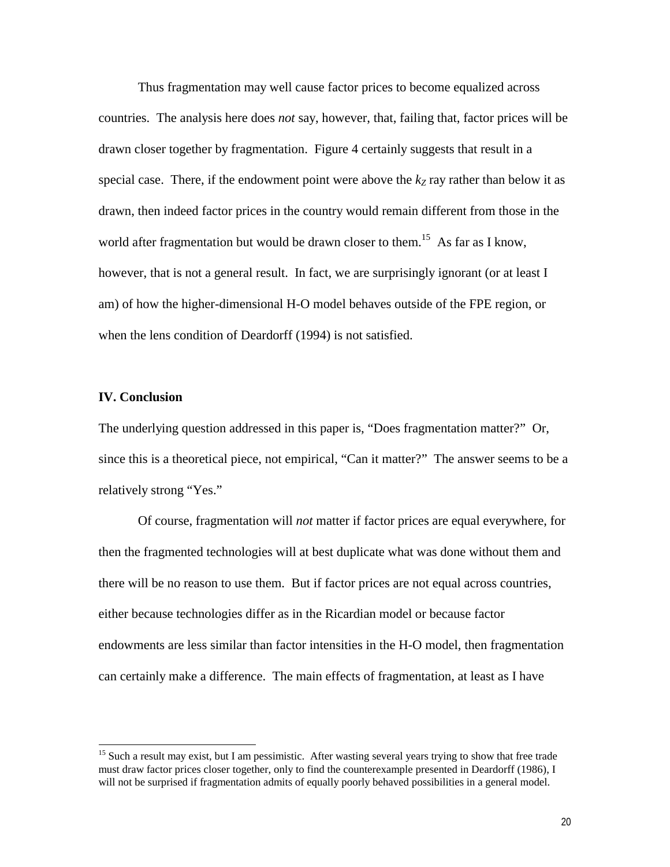Thus fragmentation may well cause factor prices to become equalized across countries. The analysis here does *not* say, however, that, failing that, factor prices will be drawn closer together by fragmentation. Figure 4 certainly suggests that result in a special case. There, if the endowment point were above the  $k_Z$  ray rather than below it as drawn, then indeed factor prices in the country would remain different from those in the world after fragmentation but would be drawn closer to them.<sup>15</sup> As far as I know, however, that is not a general result. In fact, we are surprisingly ignorant (or at least I am) of how the higher-dimensional H-O model behaves outside of the FPE region, or when the lens condition of Deardorff (1994) is not satisfied.

#### **IV. Conclusion**

 $\overline{a}$ 

The underlying question addressed in this paper is, "Does fragmentation matter?" Or, since this is a theoretical piece, not empirical, "Can it matter?" The answer seems to be a relatively strong "Yes."

Of course, fragmentation will *not* matter if factor prices are equal everywhere, for then the fragmented technologies will at best duplicate what was done without them and there will be no reason to use them. But if factor prices are not equal across countries, either because technologies differ as in the Ricardian model or because factor endowments are less similar than factor intensities in the H-O model, then fragmentation can certainly make a difference. The main effects of fragmentation, at least as I have

<sup>&</sup>lt;sup>15</sup> Such a result may exist, but I am pessimistic. After wasting several years trying to show that free trade must draw factor prices closer together, only to find the counterexample presented in Deardorff (1986), I will not be surprised if fragmentation admits of equally poorly behaved possibilities in a general model.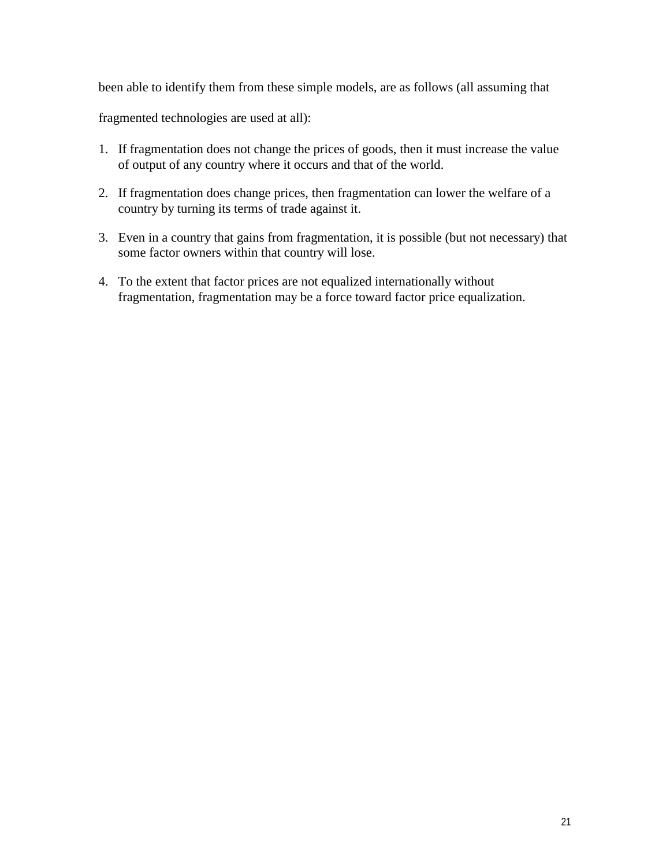been able to identify them from these simple models, are as follows (all assuming that

fragmented technologies are used at all):

- 1. If fragmentation does not change the prices of goods, then it must increase the value of output of any country where it occurs and that of the world.
- 2. If fragmentation does change prices, then fragmentation can lower the welfare of a country by turning its terms of trade against it.
- 3. Even in a country that gains from fragmentation, it is possible (but not necessary) that some factor owners within that country will lose.
- 4. To the extent that factor prices are not equalized internationally without fragmentation, fragmentation may be a force toward factor price equalization.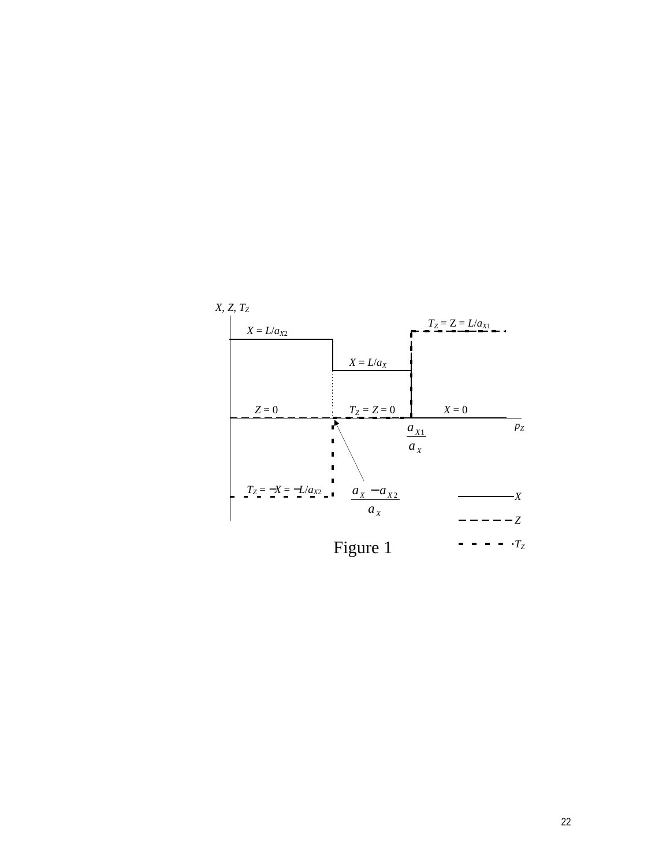

22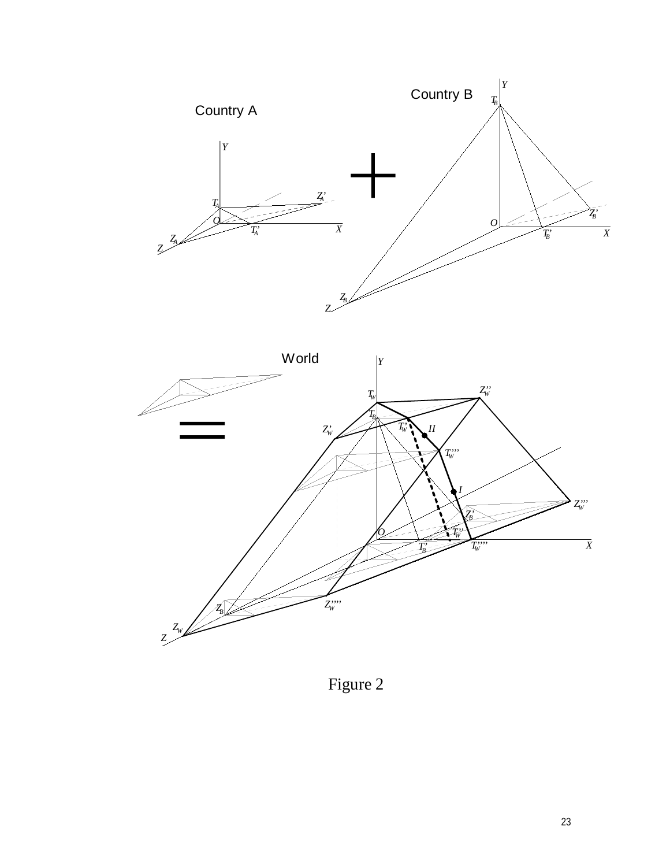



Figure 2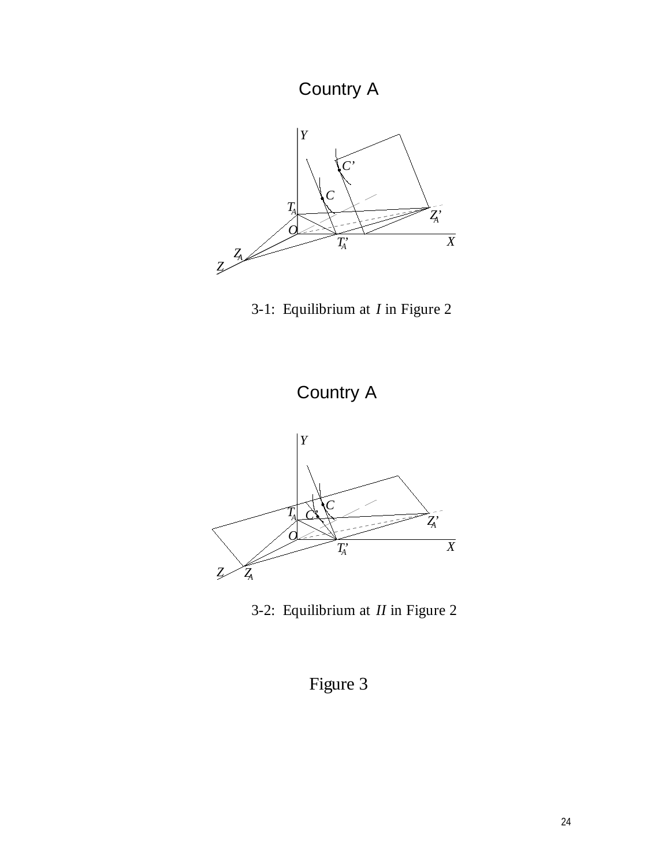









3-2: Equilibrium at *II* in Figure 2

Figure 3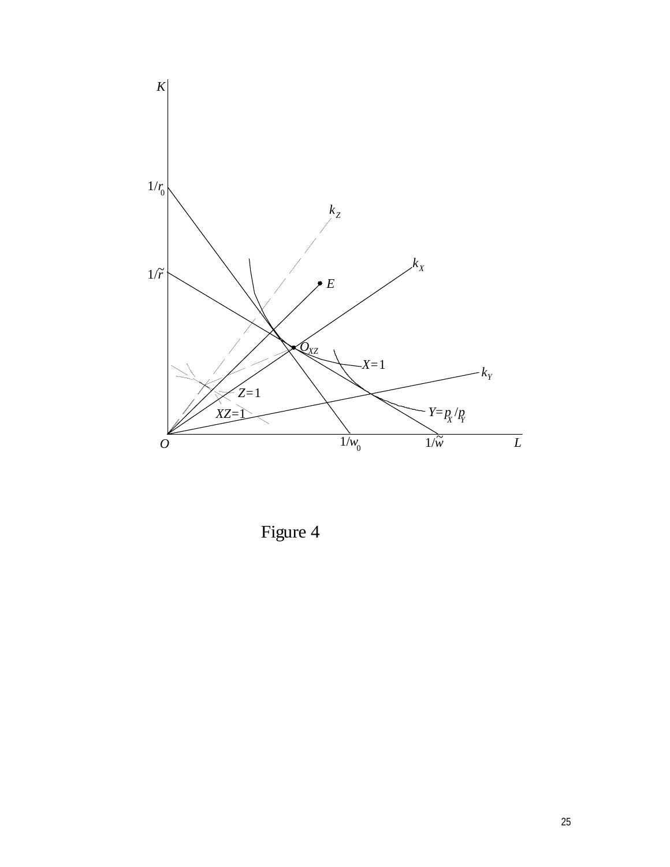

Figure 4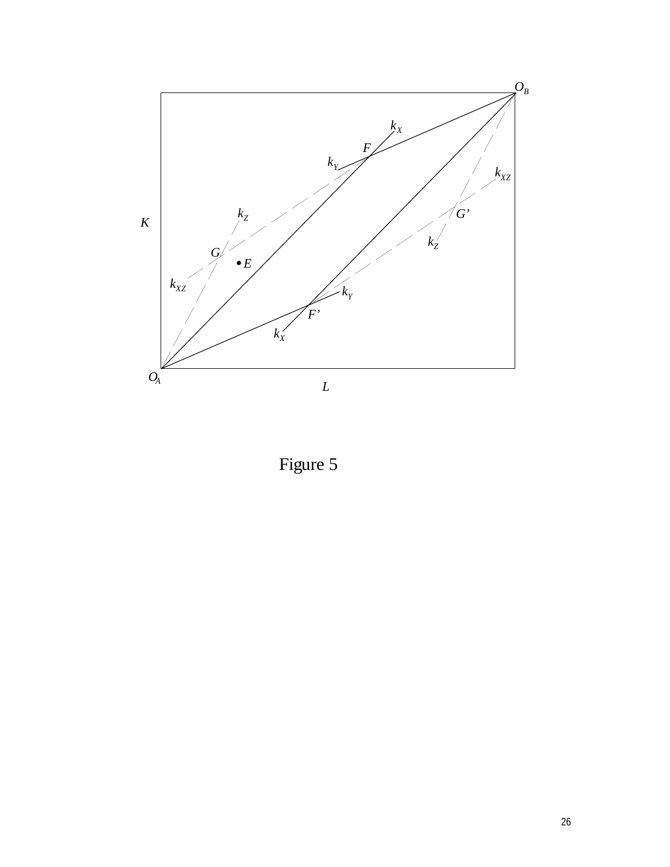

Figure 5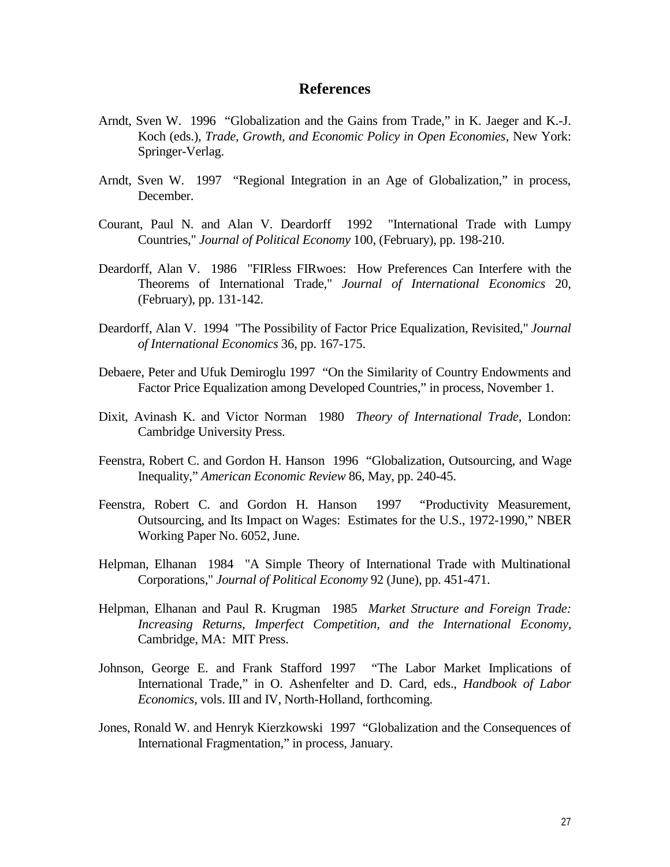#### **References**

- Arndt, Sven W. 1996 "Globalization and the Gains from Trade," in K. Jaeger and K.-J. Koch (eds.), *Trade, Growth, and Economic Policy in Open Economies*, New York: Springer-Verlag.
- Arndt, Sven W. 1997 "Regional Integration in an Age of Globalization," in process, December.
- Courant, Paul N. and Alan V. Deardorff 1992 "International Trade with Lumpy Countries," *Journal of Political Economy* 100, (February), pp. 198-210.
- Deardorff, Alan V. 1986 "FIRless FIRwoes: How Preferences Can Interfere with the Theorems of International Trade," *Journal of International Economics* 20, (February), pp. 131-142.
- Deardorff, Alan V. 1994 "The Possibility of Factor Price Equalization, Revisited," *Journal of International Economics* 36, pp. 167-175.
- Debaere, Peter and Ufuk Demiroglu 1997 "On the Similarity of Country Endowments and Factor Price Equalization among Developed Countries," in process, November 1.
- Dixit, Avinash K. and Victor Norman 1980 *Theory of International Trade*, London: Cambridge University Press.
- Feenstra, Robert C. and Gordon H. Hanson 1996 "Globalization, Outsourcing, and Wage Inequality," *American Economic Review* 86, May, pp. 240-45.
- Feenstra, Robert C. and Gordon H. Hanson 1997 "Productivity Measurement, Outsourcing, and Its Impact on Wages: Estimates for the U.S., 1972-1990," NBER Working Paper No. 6052, June.
- Helpman, Elhanan 1984 "A Simple Theory of International Trade with Multinational Corporations," *Journal of Political Economy* 92 (June), pp. 451-471.
- Helpman, Elhanan and Paul R. Krugman 1985 *Market Structure and Foreign Trade: Increasing Returns, Imperfect Competition, and the International Economy,* Cambridge, MA: MIT Press.
- Johnson, George E. and Frank Stafford 1997 "The Labor Market Implications of International Trade," in O. Ashenfelter and D. Card, eds., *Handbook of Labor Economics*, vols. III and IV, North-Holland, forthcoming.
- Jones, Ronald W. and Henryk Kierzkowski 1997 "Globalization and the Consequences of International Fragmentation," in process, January.